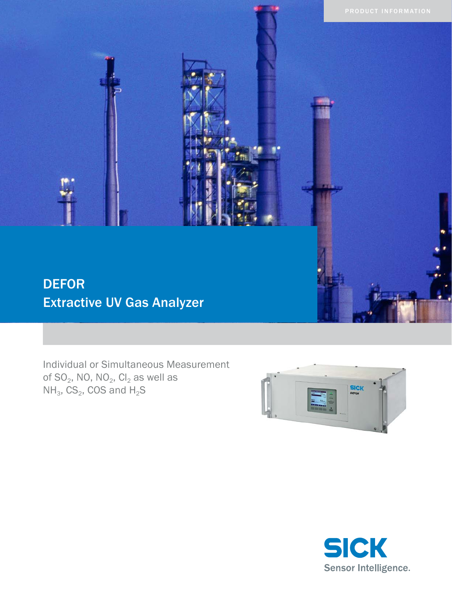

# Extractive UV Gas Analyzer

Individual or Simultaneous Measurement of  $SO_2$ , NO, NO<sub>2</sub>, Cl<sub>2</sub> as well as  $NH_3$ , CS<sub>2</sub>, COS and  $H_2S$ 



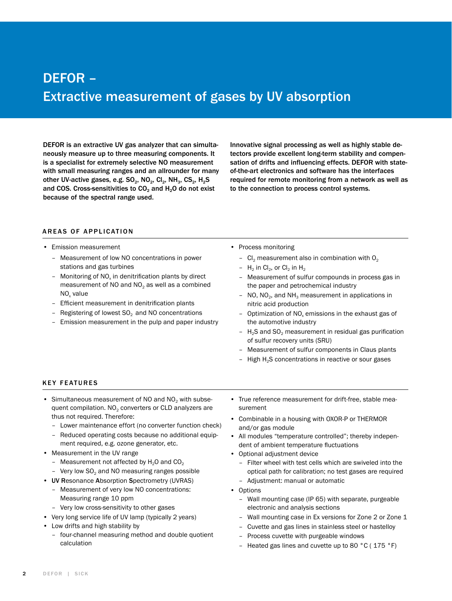# DEFOR – Extractive measurement of gases by UV absorption

DEFOR is an extractive UV gas analyzer that can simultaneously measure up to three measuring components. It is a specialist for extremely selective NO measurement with small measuring ranges and an allrounder for many other UV-active gases, e.g.  $SO_2$ ,  $NO_2$ ,  $Cl_2$ ,  $NH_3$ ,  $CS_2$ ,  $H_2S$ and COS. Cross-sensitivities to  $CO<sub>2</sub>$  and  $H<sub>2</sub>O$  do not exist because of the spectral range used.

Innovative signal processing as well as highly stable detectors provide excellent long-term stability and compensation of drifts and influencing effects. DEFOR with stateof-the-art electronics and software has the interfaces required for remote monitoring from a network as well as to the connection to process control systems.

### **AREAS OF APPLICATION**

- • Emission measurement
	- Measurement of low NO concentrations in power stations and gas turbines
	- Monitoring of  $NO<sub>x</sub>$  in denitrification plants by direct measurement of NO and  $NO<sub>2</sub>$  as well as a combined NO<sub>v</sub> value
	- Efficient measurement in denitrification plants
	- Registering of lowest  $SO<sub>2</sub>$  and NO concentrations
	- Emission measurement in the pulp and paper industry
- • Process monitoring
	- Cl<sub>2</sub> measurement also in combination with  $O<sub>2</sub>$
	- $H_2$  in Cl<sub>2</sub>, or Cl<sub>2</sub> in H<sub>2</sub>
	- Measurement of sulfur compounds in process gas in the paper and petrochemical industry
	- $-$  NO, NO<sub>2</sub>, and NH<sub>3</sub> measurement in applications in nitric acid production
	- Optimization of  $NO<sub>x</sub>$  emissions in the exhaust gas of the automotive industry
	- $-$  H<sub>2</sub>S and SO<sub>2</sub> measurement in residual gas purification of sulfur recovery units (SRU)
	- Measurement of sulfur components in Claus plants
	- High  $H_2S$  concentrations in reactive or sour gases

### **KEY FEATURES**

- Simultaneous measurement of NO and  $NO<sub>2</sub>$  with subsequent compilation.  $NO<sub>2</sub>$  converters or CLD analyzers are thus not required. Therefore:
	- Lower maintenance effort (no converter function check)
	- Reduced operating costs because no additional equipment required, e.g. ozone generator, etc.
- Measurement in the UV range
	- Measurement not affected by  $H_2O$  and  $CO_2$
	- Very low  $SO<sub>2</sub>$  and NO measuring ranges possible
- UV Resonance Absorption Spectrometry (UVRAS)
	- Measurement of very low NO concentrations: Measuring range 10 ppm
	- Very low cross-sensitivity to other gases
- • Very long service life of UV lamp (typically 2 years)
- • Low drifts and high stability by
	- four-channel measuring method and double quotient calculation
- True reference measurement for drift-free, stable measurement
- Combinable in a housing with OXOR-P or THERMOR and/or gas module
- All modules "temperature controlled"; thereby independent of ambient temperature fluctuations
- • Optional adjustment device
	- Filter wheel with test cells which are swiveled into the optical path for calibration; no test gases are required
	- Adjustment: manual or automatic
- • Options
	- Wall mounting case (IP 65) with separate, purgeable electronic and analysis sections
	- Wall mounting case in Ex versions for Zone 2 or Zone 1
	- Cuvette and gas lines in stainless steel or hastelloy
	- Process cuvette with purgeable windows
	- Heated gas lines and cuvette up to 80  $^{\circ}$ C (175  $^{\circ}$  F)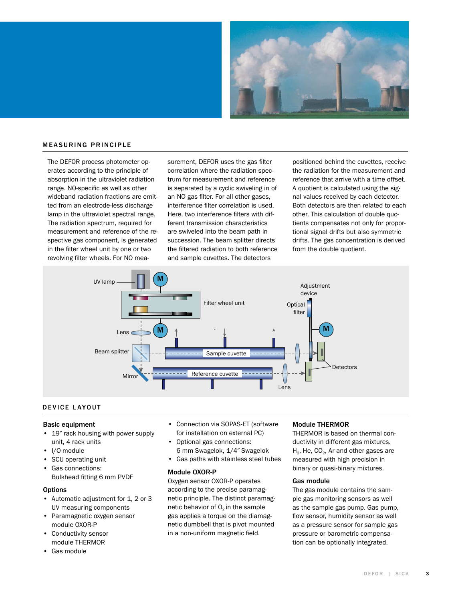

### **MEASURING PRINCIPLE**

The DEFOR process photometer operates according to the principle of absorption in the ultraviolet radiation range. NO-specific as well as other wideband radiation fractions are emitted from an electrode-less discharge lamp in the ultraviolet spectral range. The radiation spectrum, required for measurement and reference of the respective gas component, is generated in the filter wheel unit by one or two revolving filter wheels. For NO measurement, DEFOR uses the gas filter correlation where the radiation spectrum for measurement and reference is separated by a cyclic swiveling in of an NO gas filter. For all other gases, interference filter correlation is used. Here, two interference filters with different transmission characteristics are swiveled into the beam path in succession. The beam splitter directs the filtered radiation to both reference and sample cuvettes. The detectors

positioned behind the cuvettes, receive the radiation for the measurement and reference that arrive with a time offset. A quotient is calculated using the signal values received by each detector. Both detectors are then related to each other. This calculation of double quotients compensates not only for proportional signal drifts but also symmetric drifts. The gas concentration is derived from the double quotient.



## DEVICE LAYOUT

#### Basic equipment

- 19" rack housing with power supply unit, 4 rack units
- I/O module
- SCU operating unit
- Gas connections: Bulkhead fitting 6 mm PVDF

#### **Options**

- Automatic adjustment for 1, 2 or 3 UV measuring components
- • Paramagnetic oxygen sensor module OXOR-P
- • Conductivity sensor module THERMOR
- • Gas module
- Connection via SOPAS-ET (software for installation on external PC)
- • Optional gas connections: 6 mm Swagelok, 1/4″ Swagelok
- • Gas paths with stainless steel tubes

#### Module OXOR-P

Oxygen sensor OXOR-P operates according to the precise paramagnetic principle. The distinct paramagnetic behavior of  $O<sub>2</sub>$  in the sample gas applies a torque on the diamagnetic dumbbell that is pivot mounted in a non-uniform magnetic field.

#### Module THERMOR

THERMOR is based on thermal conductivity in different gas mixtures.  $H<sub>2</sub>$ , He, CO<sub>2</sub>, Ar and other gases are measured with high precision in binary or quasi-binary mixtures.

#### Gas module

The gas module contains the sample gas monitoring sensors as well as the sample gas pump. Gas pump, flow sensor, humidity sensor as well as a pressure sensor for sample gas pressure or barometric compensation can be optionally integrated.